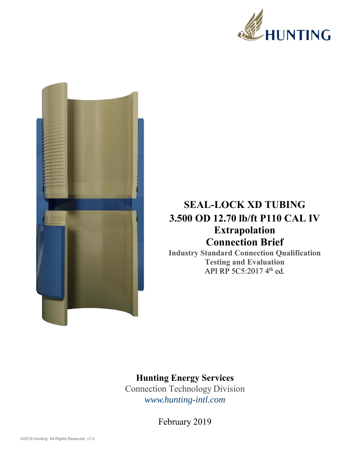



## **SEAL-LOCK XD TUBING 3.500 OD 12.70 lb/ft P110 CAL IV Extrapolation Connection Brief**

**Industry Standard Connection Qualification Testing and Evaluation**  API RP 5C5:2017 4<sup>th</sup> ed.

## **Hunting Energy Services**

Connection Technology Division *www.hunting-intl.com*

February 2019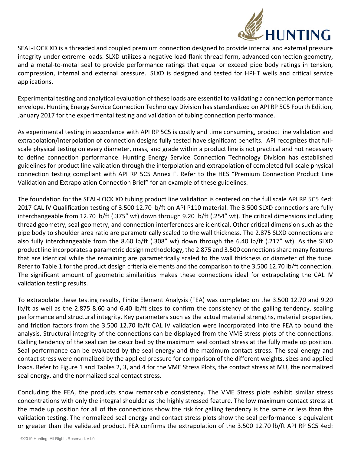

SEAL‐LOCK XD is a threaded and coupled premium connection designed to provide internal and external pressure integrity under extreme loads. SLXD utilizes a negative load‐flank thread form, advanced connection geometry, and a metal-to-metal seal to provide performance ratings that equal or exceed pipe body ratings in tension, compression, internal and external pressure. SLXD is designed and tested for HPHT wells and critical service applications.

Experimental testing and analytical evaluation of these loads are essential to validating a connection performance envelope. Hunting Energy Service Connection Technology Division has standardized on API RP 5C5 Fourth Edition, January 2017 for the experimental testing and validation of tubing connection performance.

As experimental testing in accordance with API RP 5C5 is costly and time consuming, product line validation and extrapolation/interpolation of connection designs fully tested have significant benefits. API recognizes that full‐ scale physical testing on every diameter, mass, and grade within a product line is not practical and not necessary to define connection performance. Hunting Energy Service Connection Technology Division has established guidelines for product line validation through the interpolation and extrapolation of completed full scale physical connection testing compliant with API RP 5C5 Annex F. Refer to the HES "Premium Connection Product Line Validation and Extrapolation Connection Brief" for an example of these guidelines.

The foundation for the SEAL‐LOCK XD tubing product line validation is centered on the full scale API RP 5C5 4ed: 2017 CAL IV Qualification testing of 3.500 12.70 lb/ft on API P110 material. The 3.500 SLXD connections are fully interchangeable from 12.70 lb/ft (.375" wt) down through 9.20 lb/ft (.254" wt). The critical dimensions including thread geometry, seal geometry, and connection interferences are identical. Other critical dimension such as the pipe body to shoulder area ratio are parametrically scaled to the wall thickness. The 2.875 SLXD connections are also fully interchangeable from the 8.60 lb/ft (.308" wt) down through the 6.40 lb/ft (.217" wt). As the SLXD product line incorporates a parametric design methodology, the 2.875 and 3.500 connections share many features that are identical while the remaining are parametrically scaled to the wall thickness or diameter of the tube. Refer to Table 1 for the product design criteria elements and the comparison to the 3.500 12.70 lb/ft connection. The significant amount of geometric similarities makes these connections ideal for extrapolating the CAL IV validation testing results.

To extrapolate these testing results, Finite Element Analysis (FEA) was completed on the 3.500 12.70 and 9.20 lb/ft as well as the 2.875 8.60 and 6.40 lb/ft sizes to confirm the consistency of the galling tendency, sealing performance and structural integrity. Key parameters such as the actual material strengths, material properties, and friction factors from the 3.500 12.70 lb/ft CAL IV validation were incorporated into the FEA to bound the analysis. Structural integrity of the connections can be displayed from the VME stress plots of the connections. Galling tendency of the seal can be described by the maximum seal contact stress at the fully made up position. Seal performance can be evaluated by the seal energy and the maximum contact stress. The seal energy and contact stress were normalized by the applied pressure for comparison of the different weights, sizes and applied loads. Refer to Figure 1 and Tables 2, 3, and 4 for the VME Stress Plots, the contact stress at MU, the normalized seal energy, and the normalized seal contact stress.

Concluding the FEA, the products show remarkable consistency. The VME Stress plots exhibit similar stress concentrations with only the integral shoulder as the highly stressed feature. The low maximum contact stress at the made up position for all of the connections show the risk for galling tendency is the same or less than the validation testing. The normalized seal energy and contact stress plots show the seal performance is equivalent or greater than the validated product. FEA confirms the extrapolation of the 3.500 12.70 lb/ft API RP 5C5 4ed: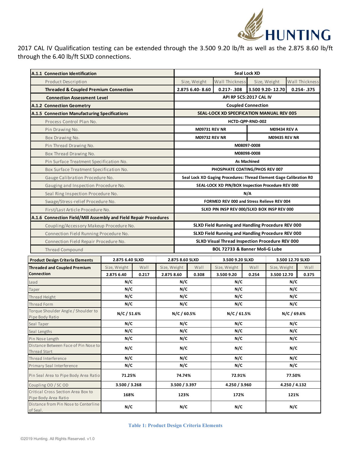

2017 CAL IV Qualification testing can be extended through the 3.500 9.20 lb/ft as well as the 2.875 8.60 lb/ft through the 6.40 lb/ft SLXD connections.

| A.1.1 Connection Identification                                  |                 |       |              |                                                                    | Seal Lock XD                   |                |                     |                      |  |                |  |
|------------------------------------------------------------------|-----------------|-------|--------------|--------------------------------------------------------------------|--------------------------------|----------------|---------------------|----------------------|--|----------------|--|
| Product Description                                              |                 |       |              |                                                                    | Size, Weight                   | Wall Thickness |                     | Size, Weight         |  | Wall Thickness |  |
| <b>Threaded &amp; Coupled Premium Connection</b>                 |                 |       |              |                                                                    | 2.875 6.40-8.60                | $0.217 - .308$ |                     | 3.500 9.20-12.70     |  | $0.254 - .375$ |  |
| <b>Connection Assessment Level</b>                               |                 |       |              | API RP 5C5:2017 CAL IV                                             |                                |                |                     |                      |  |                |  |
| A.1.2 Connection Geometry                                        |                 |       |              | <b>Coupled Connection</b>                                          |                                |                |                     |                      |  |                |  |
| A.1.5 Connection Manufacturing Specifications                    |                 |       |              | <b>SEAL-LOCK XD SPECIFICATION MANUAL REV 005</b>                   |                                |                |                     |                      |  |                |  |
| Process Control Plan No.                                         |                 |       |              | HCTD-QPP-RND-002                                                   |                                |                |                     |                      |  |                |  |
| Pin Drawing No.                                                  |                 |       |              | <b>M09731 REV NR</b>                                               |                                |                | <b>M09434 REV A</b> |                      |  |                |  |
| Box Drawing No.                                                  |                 |       |              | <b>M09732 REV NR</b>                                               |                                |                |                     | <b>M09435 REV NR</b> |  |                |  |
| Pin Thread Drawing No.                                           |                 |       |              |                                                                    | M08097-0008                    |                |                     |                      |  |                |  |
| Box Thread Drawing No.                                           |                 |       |              | M08098-0008                                                        |                                |                |                     |                      |  |                |  |
| Pin Surface Treatment Specification No.                          |                 |       |              | <b>As Machined</b>                                                 |                                |                |                     |                      |  |                |  |
| Box Surface Treatment Specification No.                          |                 |       |              | PHOSPHATE COATING/PHOS REV 007                                     |                                |                |                     |                      |  |                |  |
| Gauge Calibration Procedure No.                                  |                 |       |              | Seal Lock XD Gaging Procedures: Thread Element Gage Calibration RO |                                |                |                     |                      |  |                |  |
| Gauging and Inspection Procedure No.                             |                 |       |              | SEAL-LOCK XD PIN/BOX Inspection Procedure REV 000                  |                                |                |                     |                      |  |                |  |
| Seal Ring Inspection Procedure No.                               |                 |       |              | N/A                                                                |                                |                |                     |                      |  |                |  |
| Swage/Stress-relief Procedure No.                                |                 |       |              | FORMED REV 000 and Stress Relieve REV 004                          |                                |                |                     |                      |  |                |  |
| First/Last Article Procedure No.                                 |                 |       |              | SLXD PIN INSP REV 000/SLXD BOX INSP REV 000                        |                                |                |                     |                      |  |                |  |
| A.1.6 Connection Field/Mill Assembly and Field Repair Procedures |                 |       |              |                                                                    |                                |                |                     |                      |  |                |  |
| Coupling/Accessory Makeup Procedure No.                          |                 |       |              | SLXD Field Running and Handling Procedure REV 000                  |                                |                |                     |                      |  |                |  |
| Connection Field Running Procedure No.                           |                 |       |              | SLXD Field Running and Handling Procedure REV 000                  |                                |                |                     |                      |  |                |  |
| Connection Field Repair Procedure No.                            |                 |       |              | SLXD Visual Thread Inspection Procedure REV 000                    |                                |                |                     |                      |  |                |  |
| Thread Compound                                                  |                 |       |              |                                                                    | BOL 72733 & Banner Moli-G Lube |                |                     |                      |  |                |  |
| <b>Product Design Criteria Elements</b>                          | 2.875 6.40 SLXD |       |              | 2.875 8.60 SLXD<br>3.500 9.20 SLXD<br>3.500 12.70 SLXD             |                                |                |                     |                      |  |                |  |
| <b>Threaded and Coupled Premium</b>                              | Size, Weight    | Wall  | Size, Weight |                                                                    | Wall                           | Size, Weight   | Wall                | Size, Weight         |  | Wall           |  |
| Connection                                                       | 2.875 6.40      | 0.217 | 2.875 8.60   |                                                                    | 0.308                          | 3.500 9.20     | 0.254               | 3.500 12.70          |  | 0.375          |  |
| Lead                                                             | N/C             |       | N/C          |                                                                    |                                | N/C            |                     | N/C                  |  |                |  |
| Taper                                                            | N/C             |       | N/C          |                                                                    | N/C                            |                | N/C                 |                      |  |                |  |
| Thread Height                                                    | N/C             |       | N/C          |                                                                    | N/C                            |                | N/C                 |                      |  |                |  |
| Thread Form                                                      | N/C             |       |              | N/C                                                                |                                | N/C            |                     | N/C                  |  |                |  |
| Torque Shoulder Angle / Shoulder to<br>Pipe Body Ratio           | N/C/51.6%       |       |              | N/C/60.5%                                                          |                                | N/C/61.5%      | N/C / 69.6%         |                      |  |                |  |
| Seal Taper                                                       | N/C             |       | N/C          |                                                                    |                                | N/C            |                     | N/C                  |  |                |  |
| Seal Lengths                                                     | N/C             |       | N/C          |                                                                    | N/C                            |                | N/C                 |                      |  |                |  |
| Pin Nose Length                                                  | N/C             |       | N/C          |                                                                    | N/C                            |                | N/C                 |                      |  |                |  |
| Distance Between Face of Pin Nose to                             | N/C             |       | N/C          |                                                                    | N/C                            |                | N/C                 |                      |  |                |  |
| Thread Start                                                     | N/C             |       | N/C          |                                                                    |                                | N/C            |                     | N/C                  |  |                |  |
| Thread Interference<br>Primary Seal Interference                 | N/C             |       | N/C          |                                                                    |                                | N/C            |                     | N/C                  |  |                |  |
|                                                                  |                 |       |              |                                                                    |                                |                |                     |                      |  |                |  |
| Pin Seal Area to Pipe Body Area Ratio                            | 71.25%          |       |              | 74.74%                                                             |                                | 72.91%         |                     | 77.50%               |  |                |  |
| Coupling OD / SC OD                                              | 3.500 / 3.268   |       |              | 3.500 / 3.397                                                      |                                | 4.250 / 3.960  |                     | 4.250 / 4.132        |  |                |  |
| Critical Cross Section Area Box to<br>Pipe Body Area Ratio       | 168%            |       |              | 123%                                                               |                                | 172%           |                     | 121%                 |  |                |  |
| Distance from Pin Nose to Centerline<br>of Seal.                 | N/C             |       | N/C          |                                                                    |                                | N/C            |                     | N/C                  |  |                |  |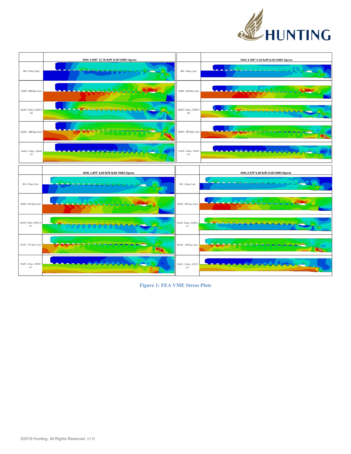



**Figure 1: FEA VME Stress Plots**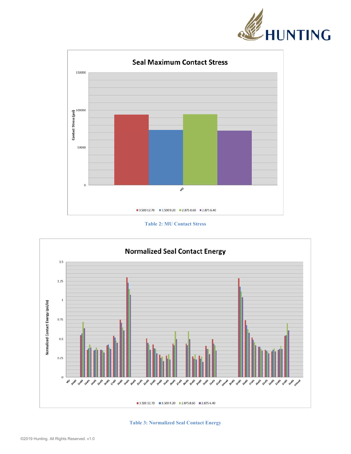



## **Table 2: MU Contact Stress**



**Table 3: Normalized Seal Contact Energy**